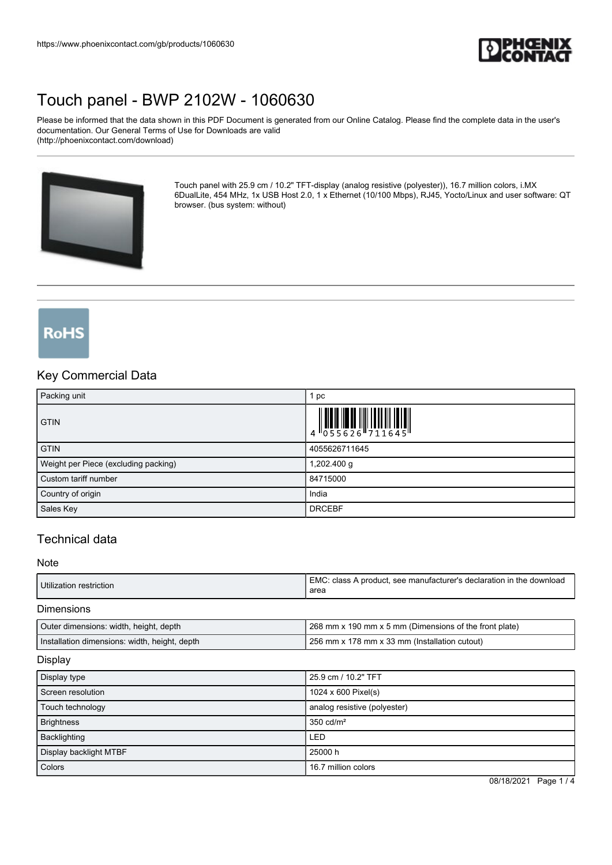

Please be informed that the data shown in this PDF Document is generated from our Online Catalog. Please find the complete data in the user's documentation. Our General Terms of Use for Downloads are valid (http://phoenixcontact.com/download)



Touch panel with 25.9 cm / 10.2" TFT-display (analog resistive (polyester)), 16.7 million colors, i.MX 6DualLite, 454 MHz, 1x USB Host 2.0, 1 x Ethernet (10/100 Mbps), RJ45, Yocto/Linux and user software: QT browser. (bus system: without)

# **RoHS**

### Key Commercial Data

| Packing unit                         | 1 pc                                                                                                                                                                      |
|--------------------------------------|---------------------------------------------------------------------------------------------------------------------------------------------------------------------------|
| <b>GTIN</b>                          | $\begin{array}{c} 1 \\ 4 \end{array} \begin{array}{c} 1 \\ 0 \\ 5 \\ 5 \\ 6 \\ 2 \end{array} \begin{array}{c} 1 \\ 6 \\ 6 \\ 7 \\ 1 \\ 1 \\ 6 \\ 4 \\ 5 \\ 1 \end{array}$ |
| <b>GTIN</b>                          | 4055626711645                                                                                                                                                             |
| Weight per Piece (excluding packing) | 1,202.400 g                                                                                                                                                               |
| Custom tariff number                 | 84715000                                                                                                                                                                  |
| Country of origin                    | India                                                                                                                                                                     |
| Sales Key                            | <b>DRCEBF</b>                                                                                                                                                             |

## Technical data

#### Note

| <b>EMC</b><br>Utilization restriction<br>area | C: class A product, see manufacturer's declaration in the download |
|-----------------------------------------------|--------------------------------------------------------------------|
|-----------------------------------------------|--------------------------------------------------------------------|

#### Dimensions

| Outer dimensions: width, height, depth        | 1268 mm x 190 mm x 5 mm (Dimensions of the front plate) |
|-----------------------------------------------|---------------------------------------------------------|
| Installation dimensions: width, height, depth | 1256 mm x 178 mm x 33 mm (Installation cutout)          |

#### **Display**

| Display type           | 25.9 cm / 10.2" TFT          |
|------------------------|------------------------------|
| Screen resolution      | 1024 x 600 Pixel(s)          |
| Touch technology       | analog resistive (polyester) |
| <b>Brightness</b>      | $350 \text{ cd/m}^2$         |
| Backlighting           | <b>LED</b>                   |
| Display backlight MTBF | 25000 h                      |
| Colors                 | 16.7 million colors          |

08/18/2021 Page 1 / 4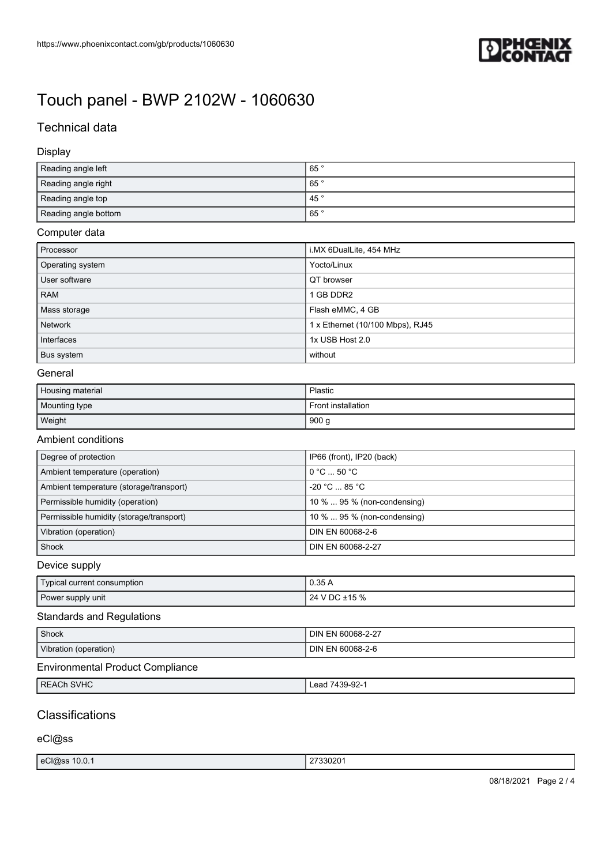

# Technical data

#### Display

| Reading angle left   | 65°             |
|----------------------|-----------------|
| Reading angle right  | 65 <sup>°</sup> |
| Reading angle top    | 45 $\degree$    |
| Reading angle bottom | 65°             |

## Computer data

| Processor        | i.MX 6DualLite, 454 MHz          |
|------------------|----------------------------------|
| Operating system | Yocto/Linux                      |
| User software    | QT browser                       |
| <b>RAM</b>       | 1 GB DDR2                        |
| Mass storage     | Flash eMMC, 4 GB                 |
| <b>Network</b>   | 1 x Ethernet (10/100 Mbps), RJ45 |
| Interfaces       | 1x USB Host 2.0                  |
| Bus system       | without                          |

#### General

| Housing material | Plastic            |
|------------------|--------------------|
| Mounting type    | Front installation |
| Weight           | 900 g              |

#### Ambient conditions

| Degree of protection                     | IP66 (front), IP20 (back)             |
|------------------------------------------|---------------------------------------|
| Ambient temperature (operation)          | $0^{\circ}$ C $$ 50 $^{\circ}$ C $^-$ |
| Ambient temperature (storage/transport)  | $-20 °C  85 °C$                       |
| Permissible humidity (operation)         | 10 %  95 % (non-condensing)           |
| Permissible humidity (storage/transport) | 10 %  95 % (non-condensing)           |
| Vibration (operation)                    | DIN EN 60068-2-6                      |
| Shock                                    | DIN EN 60068-2-27                     |

### Device supply

| Typical current consumption | 0.35/              |
|-----------------------------|--------------------|
| Power supply unit           | I V DC ±15 %<br>24 |

### Standards and Regulations

| Shock                            | <b>DIN EN 60068-2-27</b> |
|----------------------------------|--------------------------|
| Vibration (operation)            | DIN EN 60068-2-6         |
| Environmental Product Compliance |                          |

| REACh<br>0110<br>$\sim$ $\sim$<br>əvnu<br>้<br>-50'<br>. . | רח חדות<br>+১৯-৯८- |
|------------------------------------------------------------|--------------------|

# **Classifications**

#### eCl@ss

| 33020<br>$ $ eCl@ss<br>10.0.1<br>$-$<br>. |
|-------------------------------------------|
|-------------------------------------------|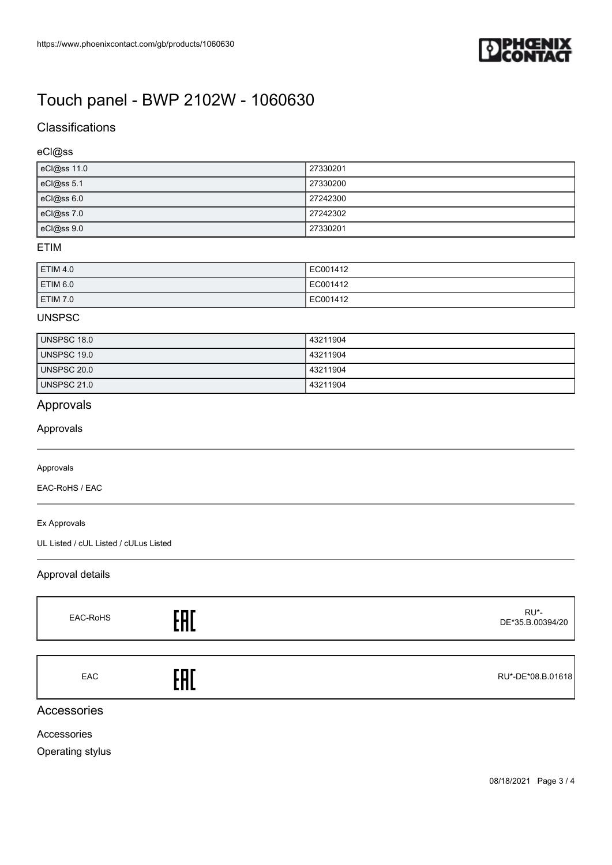

# **Classifications**

### eCl@ss

| eCl@ss 11.0 | 27330201 |
|-------------|----------|
| eCl@ss 5.1  | 27330200 |
| eCl@ss 6.0  | 27242300 |
| eCl@ss 7.0  | 27242302 |
| eCl@ss9.0   | 27330201 |

#### ETIM

| ETIM 4.0 | EC001412 |
|----------|----------|
| ETIM 6.0 | EC001412 |
| ETIM 7.0 | EC001412 |

#### UNSPSC

| UNSPSC 18.0 | 43211904 |
|-------------|----------|
| UNSPSC 19.0 | 43211904 |
| UNSPSC 20.0 | 43211904 |
| UNSPSC 21.0 | 43211904 |

# Approvals

Approvals

#### Approvals

EAC-RoHS / EAC

Ex Approvals

UL Listed / cUL Listed / cULus Listed

### Approval details

| EAC-RoHS   |     | RU*-<br>DE*35.B.00394/20 |
|------------|-----|--------------------------|
|            |     |                          |
| <b>EAC</b> | 'nГ | RU*-DE*08.B.01618        |

## Accessories

Accessories

Operating stylus